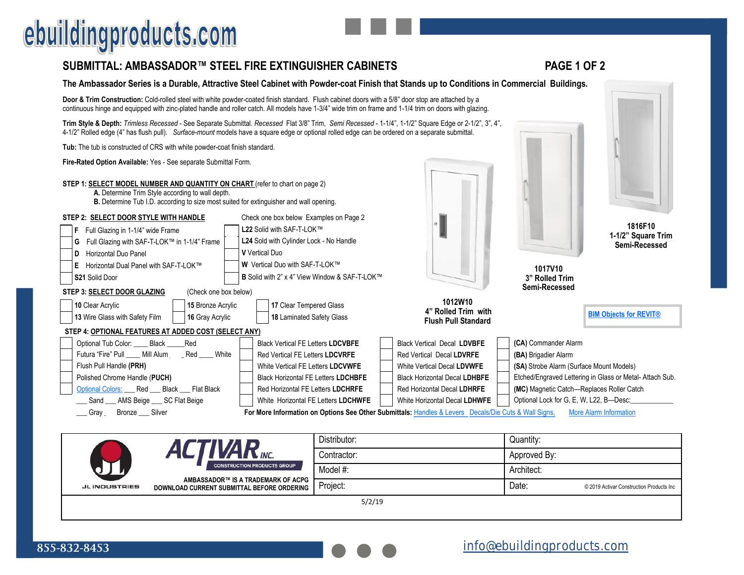# ebuildingproducts.com

### **SUBMITTAL: AMBASSADOR™ STEEL FIRE EXTINGUISHER CABINETS PAGE 1 OF 2**

#### **The Ambassador Series is a Durable, Attractive Steel Cabinet with Powder-coat Finish that Stands up to Conditions in Commercial Buildings.**

**Door & Trim Construction:** Cold-rolled steel with white powder-coated finish standard. Flush cabinet doors with a 5/8" door stop are attached by a continuous hinge and equipped with zinc-plated handle and roller catch. All models have 1-3/4" wide trim on frame and 1-1/4 trim on doors with glazing.

**Trim Style & Depth:** *Trimless Recessed* - See Separate Submittal. *Recessed* Flat 3/8" Trim, *Semi Recessed* - 1-1/4", 1-1/2" Square Edge or 2-1/2", 3", 4", 4-1/2" Rolled edge (4" has flush pull). *Surface-mount* models have a square edge or optional rolled edge can be ordered on a separate submittal.

**Tub:** The tub is constructed of CRS with white powder-coat finish standard.

**Fire-Rated Option Available:** Yes - See separate Submittal Form.

| STEP 1: SELECT MODEL NUMBER AND QUANTITY ON CHART (refer to chart on page 2) |  |
|------------------------------------------------------------------------------|--|
|------------------------------------------------------------------------------|--|

**A.** Determine Trim Style according to wall depth.

**B.** Determine Tub I.D. according to size most suited for extinguisher and wall opening.

| Check one box below Examples on Page 2<br>STEP 2: SELECT DOOR STYLE WITH HANDLE              |                                                                                                      |                                                   |                                                         |  |  |  |
|----------------------------------------------------------------------------------------------|------------------------------------------------------------------------------------------------------|---------------------------------------------------|---------------------------------------------------------|--|--|--|
| L22 Solid with SAF-T-LOK™<br>Full Glazing in 1-1/4" wide Frame                               |                                                                                                      |                                                   | 1816F10                                                 |  |  |  |
| L24 Sold with Cylinder Lock - No Handle<br>Full Glazing with SAF-T-LOK™ in 1-1/4" Frame<br>G |                                                                                                      |                                                   | 1-1/2" Square Trim<br>Semi-Recessed                     |  |  |  |
| Horizontal Duo Panel<br>D                                                                    | <b>V</b> Vertical Duo                                                                                |                                                   |                                                         |  |  |  |
| Horizontal Dual Panel with SAF-T-LOK™<br>Е                                                   | <b>W</b> Vertical Duo with SAF-T-LOK™                                                                |                                                   | 1017V10                                                 |  |  |  |
| <b>S21 Solid Door</b>                                                                        | <b>B</b> Solid with 2" x 4" View Window & SAF-T-LOK™                                                 |                                                   | 3" Rolled Trim                                          |  |  |  |
| STEP 3: SELECT DOOR GLAZING<br>(Check one box below)                                         |                                                                                                      |                                                   | Semi-Recessed                                           |  |  |  |
| 15 Bronze Acrylic<br><b>10 Clear Acrylic</b>                                                 | 17 Clear Tempered Glass                                                                              | 1012W10                                           |                                                         |  |  |  |
| 13 Wire Glass with Safety Film<br>16 Gray Acrylic                                            | 18 Laminated Safety Glass                                                                            | 4" Rolled Trim with<br><b>Flush Pull Standard</b> | <b>BIM Objects for REVIT®</b>                           |  |  |  |
| STEP 4: OPTIONAL FEATURES AT ADDED COST (SELECT ANY)                                         |                                                                                                      |                                                   |                                                         |  |  |  |
| Optional Tub Color: Black Red                                                                | <b>Black Vertical FE Letters LDCVBFE</b>                                                             | <b>Black Vertical Decal LDVBFE</b>                | (CA) Commander Alarm                                    |  |  |  |
| Futura "Fire" Pull ____ Mill Alum ___ Red ____ White                                         | Red Vertical FE Letters LDCVRFE                                                                      | Red Vertical Decal LDVRFE                         | (BA) Brigadier Alarm                                    |  |  |  |
| Flush Pull Handle (PRH)                                                                      | White Vertical FE Letters LDCVWFE                                                                    | White Vertical Decal LDVWFE                       | (SA) Strobe Alarm (Surface Mount Models)                |  |  |  |
| Polished Chrome Handle (PUCH)<br><b>Black Horizontal FE Letters LDCHBFE</b>                  |                                                                                                      | <b>Black Horizontal Decal LDHBFE</b>              | Etched/Engraved Lettering in Glass or Metal-Attach Sub. |  |  |  |
| Optional Colors: Red Black Flat Black<br>Red Horizontal FE Letters LDCHRFE                   |                                                                                                      | Red Horizontal Decal LDHRFE                       | (MC) Magnetic Catch-Replaces Roller Catch               |  |  |  |
| __ Sand __ AMS Beige __ SC Flat Beige<br>White Horizontal FE Letters LDCHWFE                 |                                                                                                      | White Horizontal Decal LDHWFE                     | Optional Lock for G, E, W, L22, B-Desc:                 |  |  |  |
| Gray ___ Bronze ___ Silver                                                                   | For More Information on Options See Other Submittals: Handles & Levers Decals/Die Cuts & Wall Signs, |                                                   | More Alarm Information                                  |  |  |  |

| <b>N</b> INC.<br><b>CONSTRUCTION PRODUCTS GROUP</b> | Distributor:                                                                     | Quantity:    |       |                                          |  |
|-----------------------------------------------------|----------------------------------------------------------------------------------|--------------|-------|------------------------------------------|--|
|                                                     | Contractor:                                                                      | Approved By: |       |                                          |  |
|                                                     | Model #:                                                                         | Architect:   |       |                                          |  |
| <b>JLINDUSTRIES</b>                                 | AMBASSADOR™ IS A TRADEMARK OF ACPG<br>DOWNLOAD CURRENT SUBMITTAL BEFORE ORDERING | Project:     | Date: | © 2019 Activar Construction Products Inc |  |
| 5/2/19                                              |                                                                                  |              |       |                                          |  |